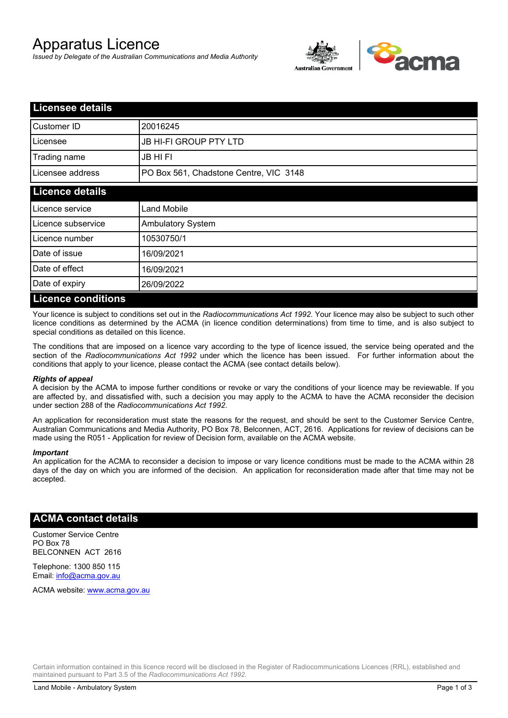# Apparatus Licence

*Issued by Delegate of the Australian Communications and Media Authority*



| <b>Licensee details</b>   |                                        |  |
|---------------------------|----------------------------------------|--|
| Customer ID               | 20016245                               |  |
| Licensee                  | <b>JB HI-FI GROUP PTY LTD</b>          |  |
| Trading name              | <b>JB HIFI</b>                         |  |
| Licensee address          | PO Box 561, Chadstone Centre, VIC 3148 |  |
| <b>Licence details</b>    |                                        |  |
| Licence service           | <b>Land Mobile</b>                     |  |
| Licence subservice        | Ambulatory System                      |  |
| Licence number            | 10530750/1                             |  |
| Date of issue             | 16/09/2021                             |  |
| Date of effect            | 16/09/2021                             |  |
| Date of expiry            | 26/09/2022                             |  |
| <b>Licence conditions</b> |                                        |  |

Your licence is subject to conditions set out in the *Radiocommunications Act 1992*. Your licence may also be subject to such other licence conditions as determined by the ACMA (in licence condition determinations) from time to time, and is also subject to special conditions as detailed on this licence.

The conditions that are imposed on a licence vary according to the type of licence issued, the service being operated and the section of the *Radiocommunications Act 1992* under which the licence has been issued. For further information about the conditions that apply to your licence, please contact the ACMA (see contact details below).

#### *Rights of appeal*

A decision by the ACMA to impose further conditions or revoke or vary the conditions of your licence may be reviewable. If you are affected by, and dissatisfied with, such a decision you may apply to the ACMA to have the ACMA reconsider the decision under section 288 of the *Radiocommunications Act 1992*.

An application for reconsideration must state the reasons for the request, and should be sent to the Customer Service Centre, Australian Communications and Media Authority, PO Box 78, Belconnen, ACT, 2616. Applications for review of decisions can be made using the R051 - Application for review of Decision form, available on the ACMA website.

#### *Important*

An application for the ACMA to reconsider a decision to impose or vary licence conditions must be made to the ACMA within 28 days of the day on which you are informed of the decision. An application for reconsideration made after that time may not be accepted.

### **ACMA contact details**

Customer Service Centre PO Box 78 BELCONNEN ACT 2616

Telephone: 1300 850 115 Email: info@acma.gov.au

ACMA website: www.acma.gov.au

Certain information contained in this licence record will be disclosed in the Register of Radiocommunications Licences (RRL), established and maintained pursuant to Part 3.5 of the *Radiocommunications Act 1992.*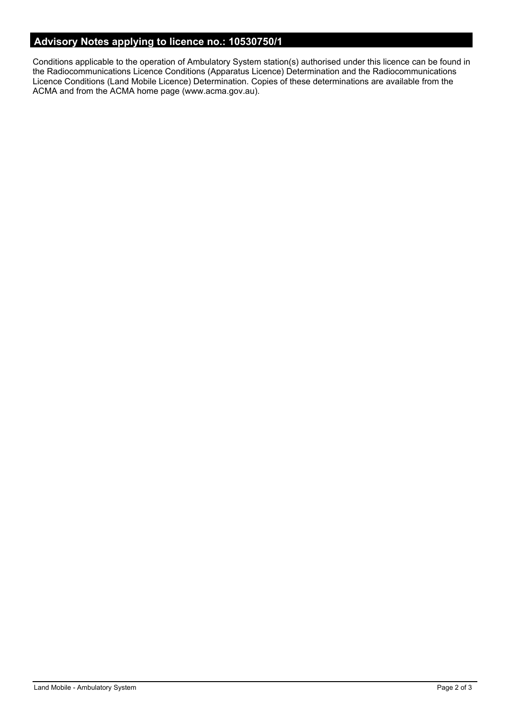# **Advisory Notes applying to licence no.: 10530750/1**

Conditions applicable to the operation of Ambulatory System station(s) authorised under this licence can be found in the Radiocommunications Licence Conditions (Apparatus Licence) Determination and the Radiocommunications Licence Conditions (Land Mobile Licence) Determination. Copies of these determinations are available from the ACMA and from the ACMA home page (www.acma.gov.au).